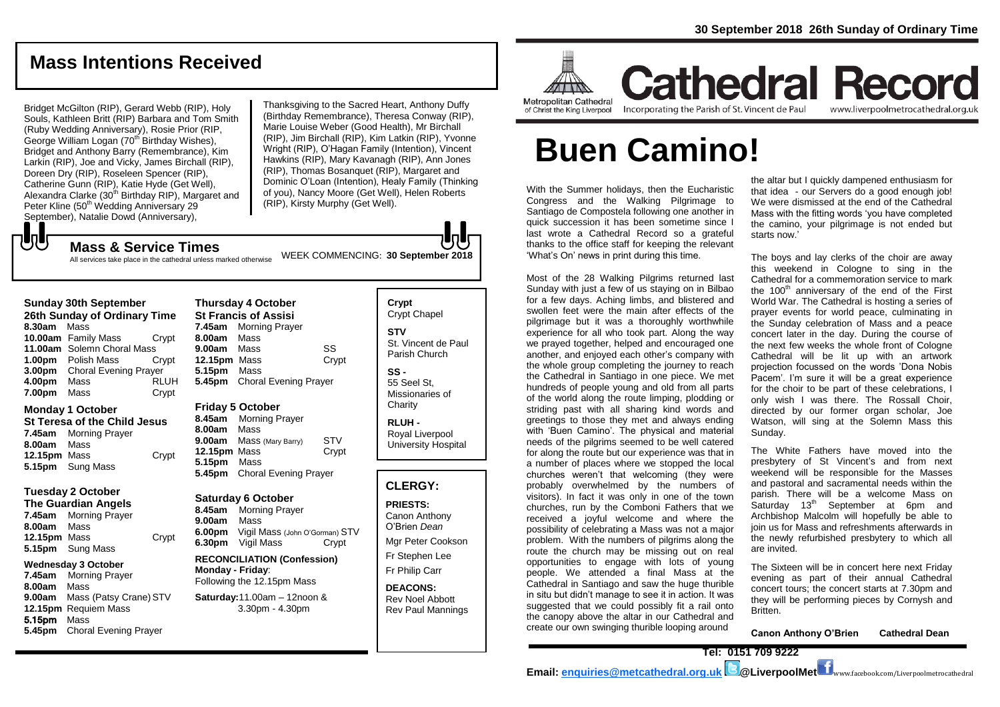## **Mass Intentions Received**

Bridget McGilton (RIP), Gerard Webb (RIP), Holy Souls, Kathleen Britt (RIP) Barbara and Tom Smith (Ruby Wedding Anniversary), Rosie Prior (RIP, George William Logan (70<sup>th</sup> Birthday Wishes). Bridget and Anthony Barry (Remembrance), Kim Larkin (RIP), Joe and Vicky, James Birchall (RIP), Doreen Dry (RIP), Roseleen Spencer (RIP), Catherine Gunn (RIP), Katie Hyde (Get Well), Alexandra Clarke (30<sup>th</sup> Birthday RIP), Margaret and Peter Kline (50<sup>th</sup> Wedding Anniversary 29 September), Natalie Dowd (Anniversary),

All services take place in the cathedral unless marked otherwise

Thanksgiving to the Sacred Heart, Anthony Duffy (Birthday Remembrance), Theresa Conway (RIP), Marie Louise Weber (Good Health), Mr Birchall (RIP), Jim Birchall (RIP), Kim Latkin (RIP), Yvonne Wright (RIP), O'Hagan Family (Intention), Vincent Hawkins (RIP), Mary Kavanagh (RIP), Ann Jones (RIP), Thomas Bosanquet (RIP), Margaret and Dominic O'Loan (Intention), Healy Family (Thinking of you), Nancy Moore (Get Well), Helen Roberts (RIP), Kirsty Murphy (Get Well).

JJ

**Sunday 30th September 26th Sunday of Ordinary Time 8.30am** Mass **10.00am** Family Mass Crypt **11.00am** Solemn Choral Mass **1.00pm** Polish Mass Crypt **3.00pm** Choral Evening Prayer **4.00pm** Mass RLUH **7.00pm** Mass Crypt

#### **Monday 1 October**

**St Teresa of the Child Jesus 7.45am** Morning Prayer **8.00am** Mass **12.15pm** Mass **Crypt 5.15pm** Sung Mass

#### **Tuesday 2 October**

**The Guardian Angels**

**7.45am** Morning Prayer **8.00am** Mass **12.15pm** Mass Crypt **5.15pm** Sung Mass

#### **Wednesday 3 October**

**7.45am** Morning Prayer **8.00am** Mass **9.00am** Mass (Patsy Crane) STV **12.15pm** Requiem Mass 5.15pm Mass **5.45pm** Choral Evening Prayer

**Thursday 4 October St Francis of Assisi 7.45am** Morning Prayer **8.00am** Mass **9.00am** Mass SS **12.15pm** Mass Crypt **5.15pm** Mass **5.45pm** Choral Evening Prayer

WEEK COMMENCING: **<sup>30</sup> September <sup>2018</sup> Mass & Service Times**

#### **Friday 5 October**

**8.45am** Morning Prayer **8.00am** Mass **9.00am** Mass (Mary Barry) STV **12.15pm** Mass Crypt **5.15pm** Mass **5.45pm** Choral Evening Prayer

#### **Saturday 6 October**

**8.45am** Morning Prayer **9.00am** Mass **6.00pm** Vigil Mass (John O'Gorman) STV **6.30pm** Vigil Mass Crypt

**RECONCILIATION (Confession) Monday - Friday**: Following the 12.15pm Mass

#### **Saturday:**11.00am – 12noon & 3.30pm - 4.30pm

Crypt Chapel **STV** St. Vincent de Paul Parish Church **SS -** 55 Seel St, Missionaries of **Charity** 

**Crypt** 

**RLUH -** Royal Liverpool University Hospital

#### **CLERGY:**

**PRIESTS:** Canon Anthony O'Brien *Dean*

Mgr Peter Cookson Fr Stephen Lee

Fr Philip Carr

**DEACONS:** Rev Noel Abbott Rev Paul Mannings



**Cathedral Record** of Christ the King Liverpool

Incorporating the Parish of St. Vincent de Paul

www.liverpoolmetrocathedral.org.uk

# **Buen Camino!**

With the Summer holidays, then the Eucharistic Congress and the Walking Pilgrimage to Santiago de Compostela following one another in quick succession it has been sometime since I last wrote a Cathedral Record so a grateful thanks to the office staff for keeping the relevant 'What's On' news in print during this time.

Most of the 28 Walking Pilgrims returned last Sunday with just a few of us staying on in Bilbao for a few days. Aching limbs, and blistered and swollen feet were the main after effects of the pilgrimage but it was a thoroughly worthwhile experience for all who took part. Along the way we prayed together, helped and encouraged one another, and enjoyed each other's company with the whole group completing the journey to reach the Cathedral in Santiago in one piece. We met hundreds of people young and old from all parts of the world along the route limping, plodding or striding past with all sharing kind words and greetings to those they met and always ending with 'Buen Camino'. The physical and material needs of the pilgrims seemed to be well catered for along the route but our experience was that in a number of places where we stopped the local churches weren't that welcoming (they were probably overwhelmed by the numbers of visitors). In fact it was only in one of the town churches, run by the Comboni Fathers that we received a joyful welcome and where the possibility of celebrating a Mass was not a major problem. With the numbers of pilgrims along the route the church may be missing out on real opportunities to engage with lots of young people. We attended a final Mass at the Cathedral in Santiago and saw the huge thurible in situ but didn't manage to see it in action. It was suggested that we could possibly fit a rail onto the canopy above the altar in our Cathedral and create our own swinging thurible looping around

the altar but I quickly dampened enthusiasm for that idea - our Servers do a good enough job! We were dismissed at the end of the Cathedral Mass with the fitting words 'you have completed the camino, your pilgrimage is not ended but starts now.'

The boys and lay clerks of the choir are away this weekend in Cologne to sing in the Cathedral for a commemoration service to mark the 100<sup>th</sup> anniversary of the end of the First World War. The Cathedral is hosting a series of prayer events for world peace, culminating in the Sunday celebration of Mass and a peace concert later in the day. During the course of the next few weeks the whole front of Cologne Cathedral will be lit up with an artwork projection focussed on the words 'Dona Nobis Pacem'. I'm sure it will be a great experience for the choir to be part of these celebrations, I only wish I was there. The Rossall Choir, directed by our former organ scholar, Joe Watson, will sing at the Solemn Mass this Sunday.

The White Fathers have moved into the presbytery of St Vincent's and from next weekend will be responsible for the Masses and pastoral and sacramental needs within the parish. There will be a welcome Mass on Saturday  $13<sup>th</sup>$  September at 6pm and Archbishop Malcolm will hopefully be able to join us for Mass and refreshments afterwards in the newly refurbished presbytery to which all are invited.

The Sixteen will be in concert here next Friday evening as part of their annual Cathedral concert tours; the concert starts at 7.30pm and they will be performing pieces by Cornysh and Britten.

**Canon Anthony O'Brien Cathedral Dean**

**Email: [enquiries@metcathedral.org.uk](mailto:enquiries@metcathedral.org.uk) @LiverpoolMet** www.facebook.com/Liverpoolmetrocathedral

**Tel: 0151 709 9222**